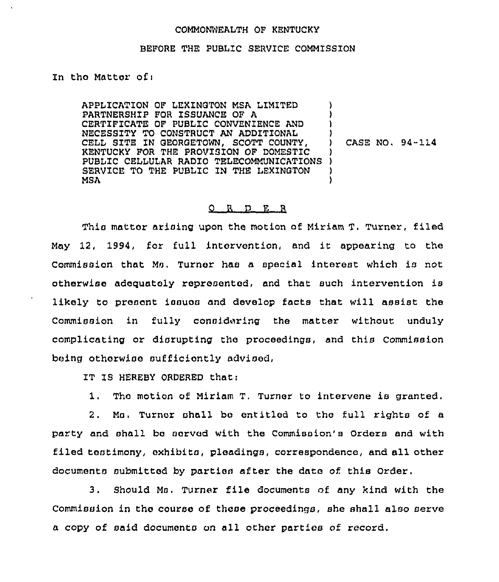## COMMONWEALTH OF KENTUCKY

## BEFORE THE PUBLIC SERVICE COMMISSION

In tho Mattor ofi

APPLICATION OF LEXINGTON MSA LIMITED PARTNERSHIP FOR ISSUANCE OF A CERTIFICATE OF PUBLIC CONVENIENCE AND NECESSITY TO CONSTRUCT AN ADDITIONAL CELL SITE IN GEORGETOWN, SCOTT COUNTY, KENTUCKY FOR THE PROVISION OF DOMEST1C RENTUCKI FOR THE FROVISION OF DOMESTIC<br>PUBLIC CELLULAR RADIO TELECOMMUNICATIONS ) SERVICE TO THE PUBLIC IN THE LEXINGTON MSA ) ) ) ) ) CASE NO, 94-114 ) ) )

## 0 R D E R

This mattor arising upon the motion of Miriam T. Turner, filed May 12, 1994, for full intervention, and it appearing to the Commission that Ms. Turner has a special interest which is not otherwiso adequately represented, and that such intervention is likely to present issues and develop facts that will assist the Commission in fully considering the matter without unduly complicating or disrupting the proceedings, and this Commission being otherwioe oufficiontly advised,

IT IS HEREBY ORDERED that:

1. Tho motion of Miriam T, Turner to intervene is granted.

2. Mo. Tumor shall bo entitled to tho full rights of a par'ty and shall bo oorvod with the Commission's Orders and with filed testimony, exhibits, ploadings, correspondence, and all other documents submitted by parties after the dato of. this Order,

3. Should Ms. Turner file documents of any kind with the Commission in tho course of these proceedings, she shall also serve a copy of said documents on all other parties of record.